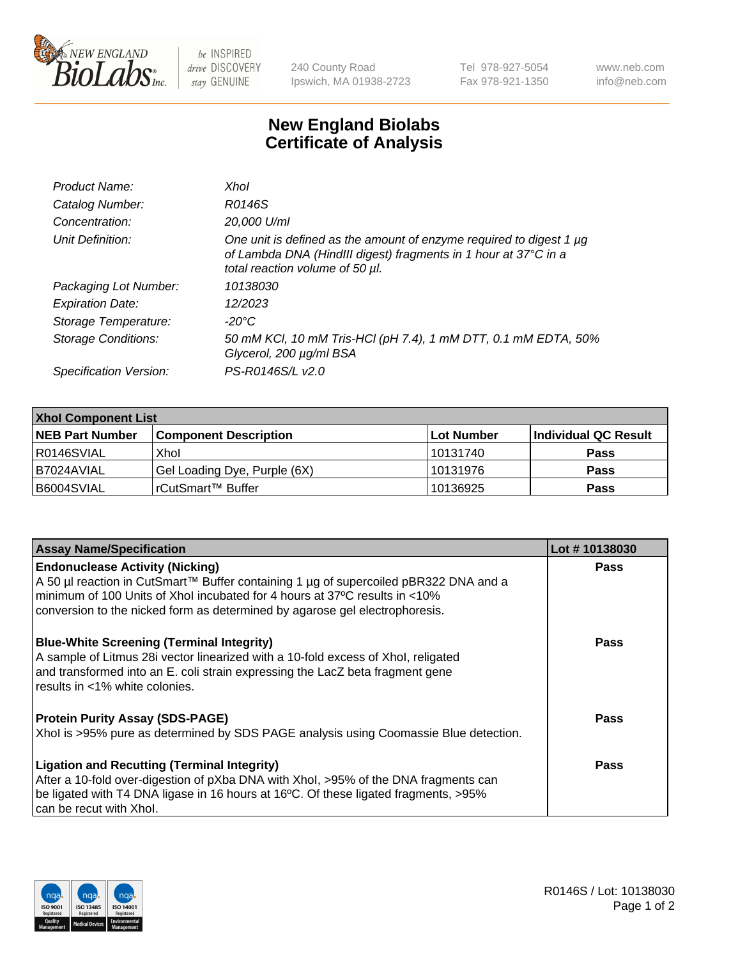

 $be$  INSPIRED drive DISCOVERY stay GENUINE

240 County Road Ipswich, MA 01938-2723 Tel 978-927-5054 Fax 978-921-1350 www.neb.com info@neb.com

## **New England Biolabs Certificate of Analysis**

| Product Name:           | Xhol                                                                                                                                                                      |
|-------------------------|---------------------------------------------------------------------------------------------------------------------------------------------------------------------------|
| Catalog Number:         | R0146S                                                                                                                                                                    |
| Concentration:          | 20,000 U/ml                                                                                                                                                               |
| Unit Definition:        | One unit is defined as the amount of enzyme required to digest 1 µg<br>of Lambda DNA (HindIII digest) fragments in 1 hour at 37°C in a<br>total reaction volume of 50 µl. |
| Packaging Lot Number:   | 10138030                                                                                                                                                                  |
| <b>Expiration Date:</b> | 12/2023                                                                                                                                                                   |
| Storage Temperature:    | -20°C                                                                                                                                                                     |
| Storage Conditions:     | 50 mM KCl, 10 mM Tris-HCl (pH 7.4), 1 mM DTT, 0.1 mM EDTA, 50%<br>Glycerol, 200 µg/ml BSA                                                                                 |
| Specification Version:  | PS-R0146S/L v2.0                                                                                                                                                          |

| <b>Xhol Component List</b> |                              |             |                      |  |  |
|----------------------------|------------------------------|-------------|----------------------|--|--|
| <b>NEB Part Number</b>     | <b>Component Description</b> | ∣Lot Number | Individual QC Result |  |  |
| R0146SVIAL                 | Xhol                         | 10131740    | <b>Pass</b>          |  |  |
| IB7024AVIAL                | Gel Loading Dye, Purple (6X) | 10131976    | <b>Pass</b>          |  |  |
| B6004SVIAL                 | rCutSmart™ Buffer            | 10136925    | <b>Pass</b>          |  |  |

| <b>Assay Name/Specification</b>                                                                                                                                                                                                                          | Lot #10138030 |
|----------------------------------------------------------------------------------------------------------------------------------------------------------------------------------------------------------------------------------------------------------|---------------|
| <b>Endonuclease Activity (Nicking)</b>                                                                                                                                                                                                                   | <b>Pass</b>   |
| A 50 µl reaction in CutSmart™ Buffer containing 1 µg of supercoiled pBR322 DNA and a<br>minimum of 100 Units of Xhol incubated for 4 hours at 37°C results in <10%                                                                                       |               |
| conversion to the nicked form as determined by agarose gel electrophoresis.                                                                                                                                                                              |               |
| <b>Blue-White Screening (Terminal Integrity)</b><br>A sample of Litmus 28i vector linearized with a 10-fold excess of Xhol, religated<br>and transformed into an E. coli strain expressing the LacZ beta fragment gene<br>results in <1% white colonies. | <b>Pass</b>   |
| <b>Protein Purity Assay (SDS-PAGE)</b>                                                                                                                                                                                                                   | Pass          |
| Xhol is >95% pure as determined by SDS PAGE analysis using Coomassie Blue detection.                                                                                                                                                                     |               |
| <b>Ligation and Recutting (Terminal Integrity)</b>                                                                                                                                                                                                       | Pass          |
| After a 10-fold over-digestion of pXba DNA with Xhol, >95% of the DNA fragments can                                                                                                                                                                      |               |
| be ligated with T4 DNA ligase in 16 hours at 16°C. Of these ligated fragments, >95%<br>can be recut with Xhol.                                                                                                                                           |               |